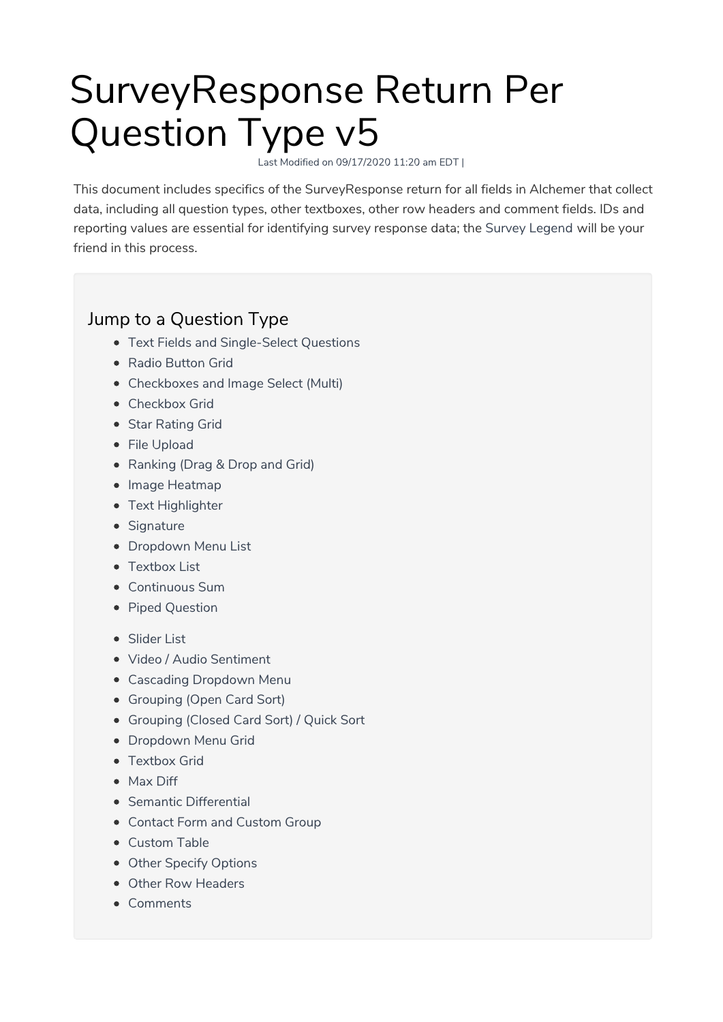# SurveyResponse Return Per Question Type v5

Last Modified on 09/17/2020 11:20 am EDT |

This document includes specifics of the SurveyResponse return for all fields in Alchemer that collect data, including all question types, other textboxes, other row headers and comment fields. IDs and reporting values are essential for identifying survey response data; the Survey Legend will be your friend in this process.

# Jump to a Question Type

- Text Fields and Single-Select Questions
- Radio Button Grid
- Checkboxes and Image Select (Multi)
- Checkbox Grid
- Star Rating Grid
- File Upload
- Ranking (Drag & Drop and Grid)
- Image Heatmap
- Text Highlighter
- Signature
- Dropdown Menu List
- Textbox List
- Continuous Sum
- Piped Question
- Slider List
- Video / Audio Sentiment
- Cascading Dropdown Menu
- Grouping (Open Card Sort)
- Grouping (Closed Card Sort) / Quick Sort
- **Dropdown Menu Grid**
- Textbox Grid
- Max Diff
- Semantic Differential
- Contact Form and Custom Group
- Custom Table
- Other Specify Options
- Other Row Headers
- Comments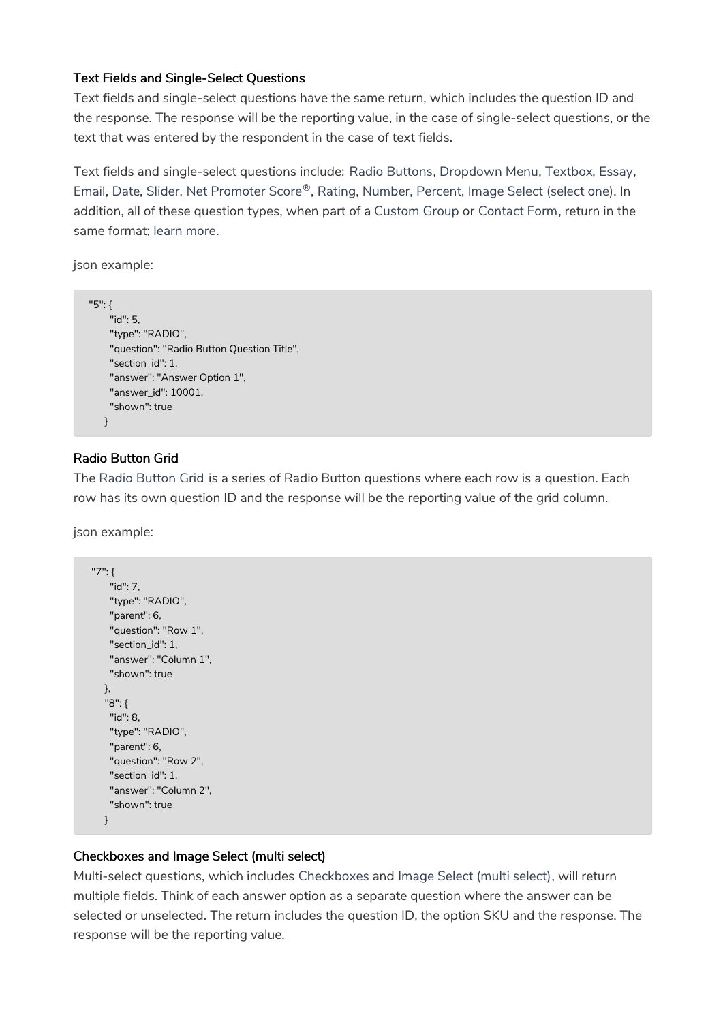#### Text Fields and Single-Select Questions

Text fields and single-select questions have the same return, which includes the question ID and the response. The response will be the reporting value, in the case of single-select questions, or the text that was entered by the respondent in the case of text fields.

Text fields and single-select questions include: Radio Buttons, Dropdown Menu, Textbox, Essay, Email, Date, Slider, Net Promoter Score®, Rating, Number, Percent, Image Select (select one). In addition, all of these question types, when part of a Custom Group or Contact Form, return in the same format; learn more.

json example:

```
"5": {
    "id": 5,
    "type": "RADIO",
    "question": "Radio Button Question Title",
    "section_id": 1,
    "answer": "Answer Option 1",
    "answer_id": 10001,
    "shown": true
   }
```
#### Radio Button Grid

The Radio Button Grid is a series of Radio Button questions where each row is a question. Each row has its own question ID and the response will be the reporting value of the grid column.

json example:

```
"7": {
   "id": 7,
   "type": "RADIO",
   "parent": 6,
   "question": "Row 1",
   "section_id": 1,
   "answer": "Column 1",
   "shown": true
  },
  "8": {
   "id": 8,
   "type": "RADIO",
   "parent": 6,
   "question": "Row 2",
   "section_id": 1,
   "answer": "Column 2",
   "shown": true
  }
```
#### Checkboxes and Image Select (multi select)

Multi-select questions, which includes Checkboxes and Image Select (multi select), will return multiple fields. Think of each answer option as a separate question where the answer can be selected or unselected. The return includes the question ID, the option SKU and the response. The response will be the reporting value.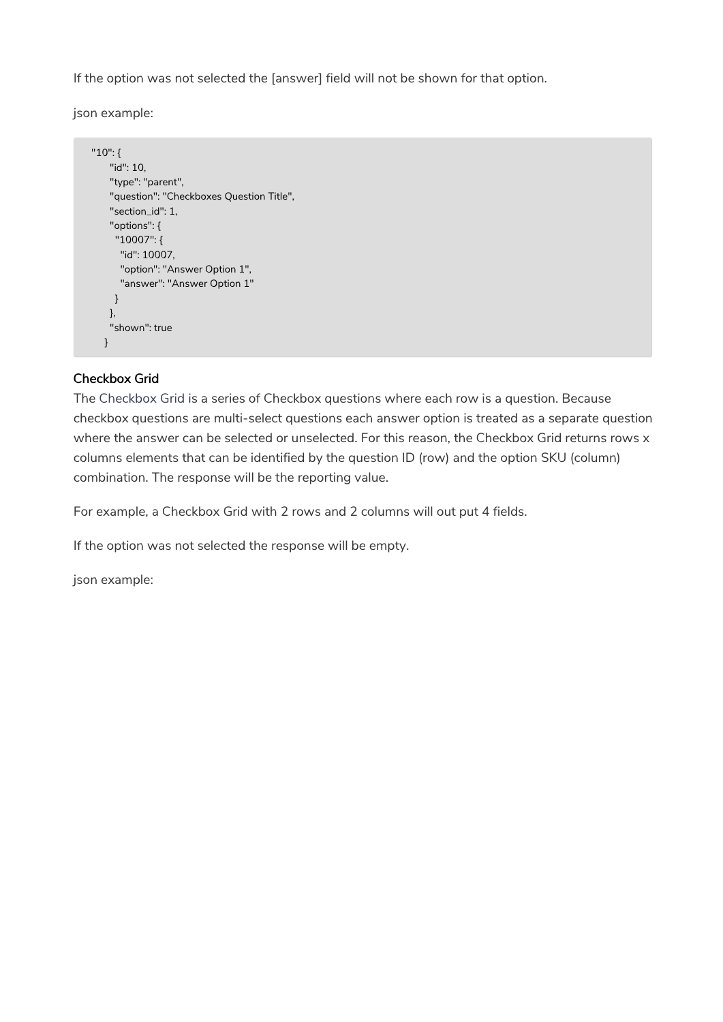If the option was not selected the [answer] field will not be shown for that option.

json example:

```
"10": {
   "id": 10,
   "type": "parent",
   "question": "Checkboxes Question Title",
   "section_id": 1,
   "options": {
    "10007": {
     "id": 10007,
     "option": "Answer Option 1",
     "answer": "Answer Option 1"
    }
   },
   "shown": true
  }
```
#### Checkbox Grid

The Checkbox Grid is a series of Checkbox questions where each row is a question. Because checkbox questions are multi-select questions each answer option is treated as a separate question where the answer can be selected or unselected. For this reason, the Checkbox Grid returns rows x columns elements that can be identified by the question ID (row) and the option SKU (column) combination. The response will be the reporting value.

For example, a Checkbox Grid with 2 rows and 2 columns will out put 4 fields.

If the option was not selected the response will be empty.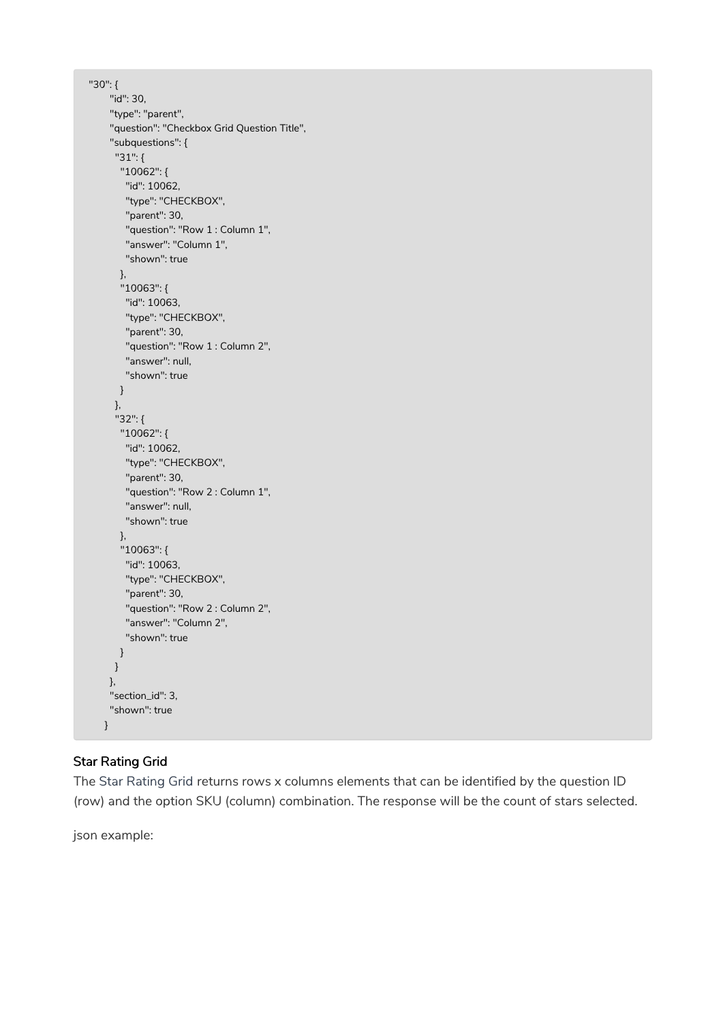```
"30": {
    "id": 30,
    "type": "parent",
    "question": "Checkbox Grid Question Title",
    "subquestions": {
     "31": {
      "10062": {
       "id": 10062,
       "type": "CHECKBOX",
       "parent": 30,
       "question": "Row 1 : Column 1",
       "answer": "Column 1",
       "shown": true
      },
      "10063": {
       "id": 10063,
       "type": "CHECKBOX",
       "parent": 30,
       "question": "Row 1 : Column 2",
       "answer": null,
       "shown": true
      }
     },
     "32": {
      "10062": {
       "id": 10062,
       "type": "CHECKBOX",
       "parent": 30,
       "question": "Row 2 : Column 1",
       "answer": null,
       "shown": true
      },
      "10063": {
       "id": 10063,
       "type": "CHECKBOX",
       "parent": 30,
       "question": "Row 2 : Column 2",
       "answer": "Column 2",
       "shown": true
      }
     }
    },
    "section_id": 3,
    "shown": true
   }
```
# Star Rating Grid

The Star Rating Grid returns rows x columns elements that can be identified by the question ID (row) and the option SKU (column) combination. The response will be the count of stars selected.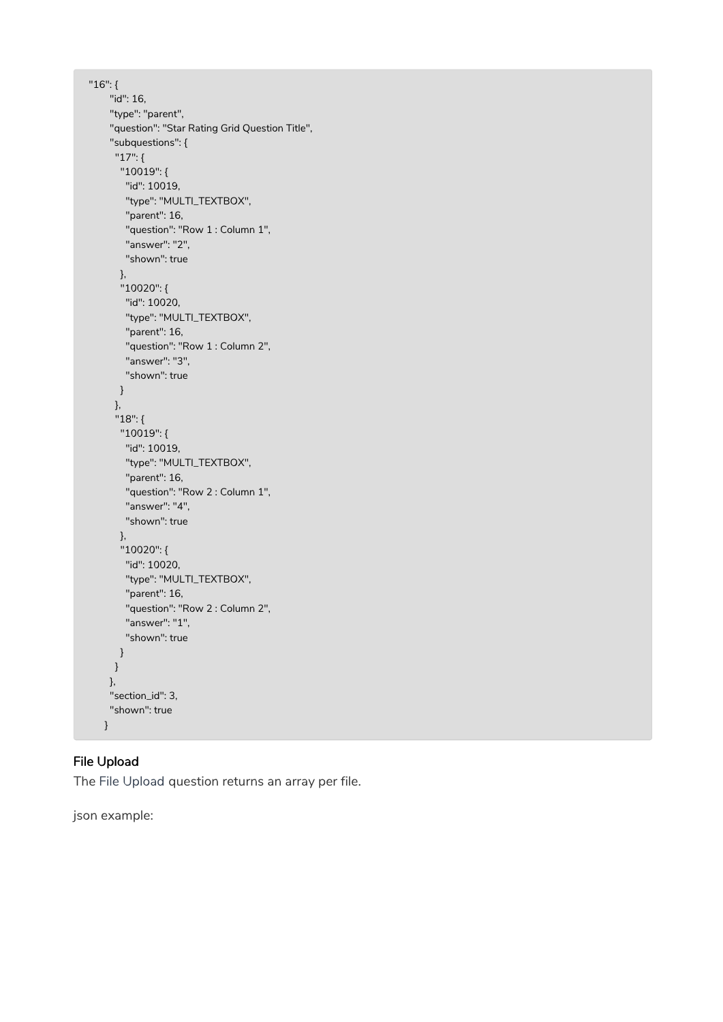```
"16": {
    "id": 16,
    "type": "parent",
    "question": "Star Rating Grid Question Title",
    "subquestions": {
     "17": {
      "10019": {
       "id": 10019,
       "type": "MULTI_TEXTBOX",
       "parent": 16,
       "question": "Row 1 : Column 1",
       "answer": "2",
       "shown": true
      },
      "10020": {
       "id": 10020,
       "type": "MULTI_TEXTBOX",
       "parent": 16,
       "question": "Row 1 : Column 2",
       "answer": "3",
       "shown": true
      }
     },
     "18": {
      "10019": {
       "id": 10019,
       "type": "MULTI_TEXTBOX",
       "parent": 16,
       "question": "Row 2 : Column 1",
       "answer": "4",
       "shown": true
      },
      "10020": {
       "id": 10020,
       "type": "MULTI_TEXTBOX",
       "parent": 16,
       "question": "Row 2 : Column 2",
       "answer": "1",
       "shown": true
      }
     }
    },
    "section_id": 3,
    "shown": true
  }
```
# File Upload

The File Upload question returns an array per file.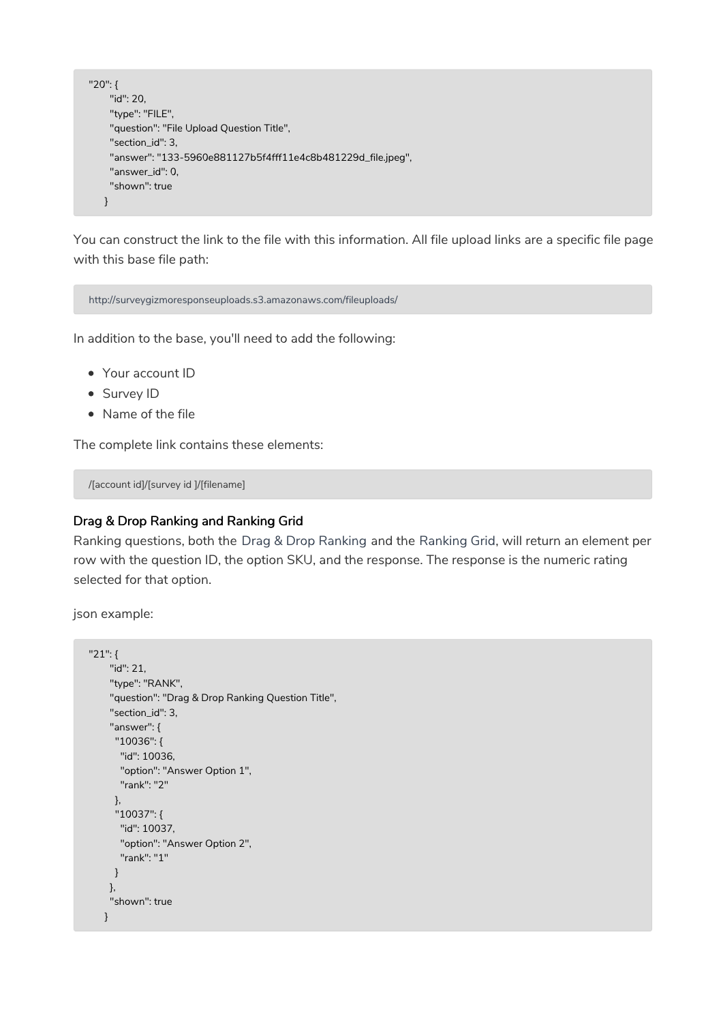```
"20": {
    "id": 20,
    "type": "FILE",
    "question": "File Upload Question Title",
    "section_id": 3,
    "answer": "133-5960e881127b5f4fff11e4c8b481229d_file.jpeg",
    "answer_id": 0,
    "shown": true
   }
```
You can construct the link to the file with this information. All file upload links are a specific file page with this base file path:

http://surveygizmoresponseuploads.s3.amazonaws.com/fileuploads/

In addition to the base, you'll need to add the following:

- Your account ID
- Survey ID
- Name of the file

The complete link contains these elements:

/[account id]/[survey id ]/[filename]

#### Drag & Drop Ranking and Ranking Grid

Ranking questions, both the Drag & Drop Ranking and the Ranking Grid, will return an element per row with the question ID, the option SKU, and the response. The response is the numeric rating selected for that option.

```
"21": {
    "id": 21,
    "type": "RANK",
    "question": "Drag & Drop Ranking Question Title",
    "section_id": 3,
    "answer": {
     "10036": {
      "id": 10036,
      "option": "Answer Option 1",
      "rank": "2"
     },
     "10037": {
      "id": 10037,
      "option": "Answer Option 2",
      "rank": "1"
     }
    },
    "shown": true
   }
```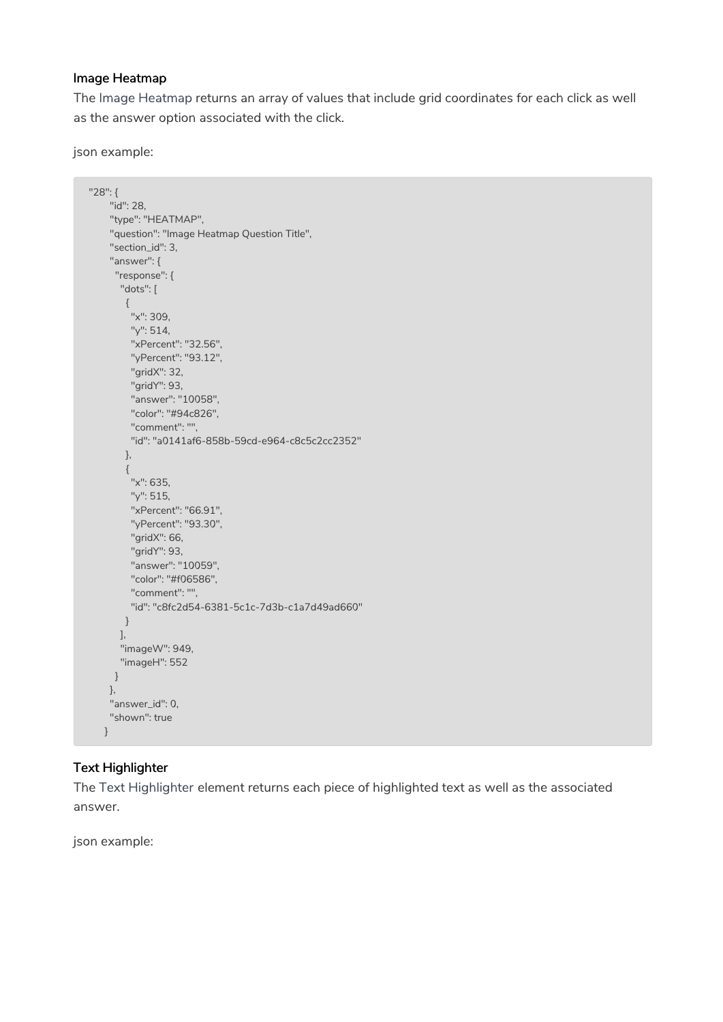#### Image Heatmap

The Image Heatmap returns an array of values that include grid coordinates for each click as well as the answer option associated with the click.

json example:

```
"28": {
    "id": 28,
    "type": "HEATMAP",
    "question": "Image Heatmap Question Title",
    "section_id": 3,
    "answer": {
    "response": {
      "dots": [
       {
        "x": 309,
        "y": 514,
        "xPercent": "32.56",
        "yPercent": "93.12",
        "gridX": 32,
        "gridY": 93,
        "answer": "10058",
        "color": "#94c826",
        "comment": "",
        "id": "a0141af6-858b-59cd-e964-c8c5c2cc2352"
       },
       {
        "x": 635,
        "y": 515,
        "xPercent": "66.91",
        "yPercent": "93.30",
        "gridX": 66,
        "gridY": 93,
        "answer": "10059",
        "color": "#f06586",
        "comment": "",
        "id": "c8fc2d54-6381-5c1c-7d3b-c1a7d49ad660"
       }
      ],
      "imageW": 949,
      "imageH": 552
    }
    },
    "answer_id": 0,
    "shown": true
   }
```
# Text Highlighter

The Text Highlighter element returns each piece of highlighted text as well as the associated answer.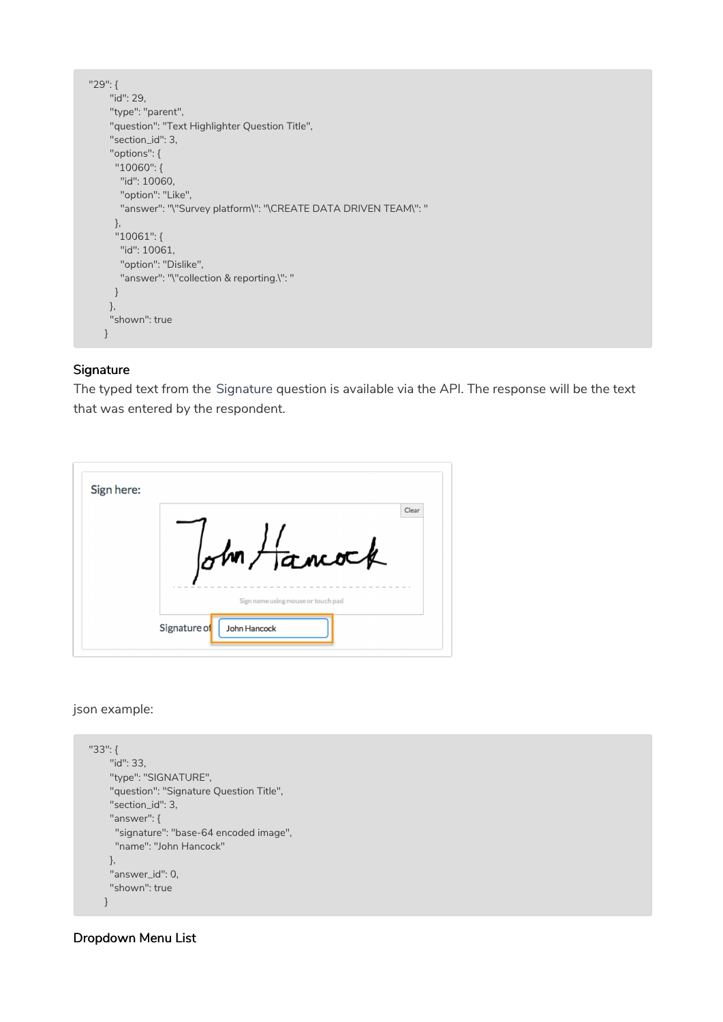```
"29": {
    "id": 29,
    "type": "parent",
    "question": "Text Highlighter Question Title",
    "section_id": 3,
    "options": {
     "10060": {
      "id": 10060,
      "option": "Like",
      "answer": "\"Survey platform\": "\CREATE DATA DRIVEN TEAM\": "
     },
     "10061": {
      "id": 10061,
      "option": "Dislike",
      "answer": "\"collection & reporting.\": "
     }
    },
    "shown": true
   }
```
#### **Signature**

The typed text from the Signature question is available via the API. The response will be the text that was entered by the respondent.

| Sign here: |                                     |
|------------|-------------------------------------|
|            | Clear                               |
|            |                                     |
|            | ohn Hancock                         |
|            |                                     |
|            |                                     |
|            | Sign name using mouse or touch pad  |
|            | Signature of<br><b>John Hancock</b> |

#### json example:

```
"33": {
    "id": 33,
    "type": "SIGNATURE",
    "question": "Signature Question Title",
    "section_id": 3,
    "answer": {
     "signature": "base-64 encoded image",
     "name": "John Hancock"
   },
    "answer_id": 0,
    "shown": true
   }
```
# Dropdown Menu List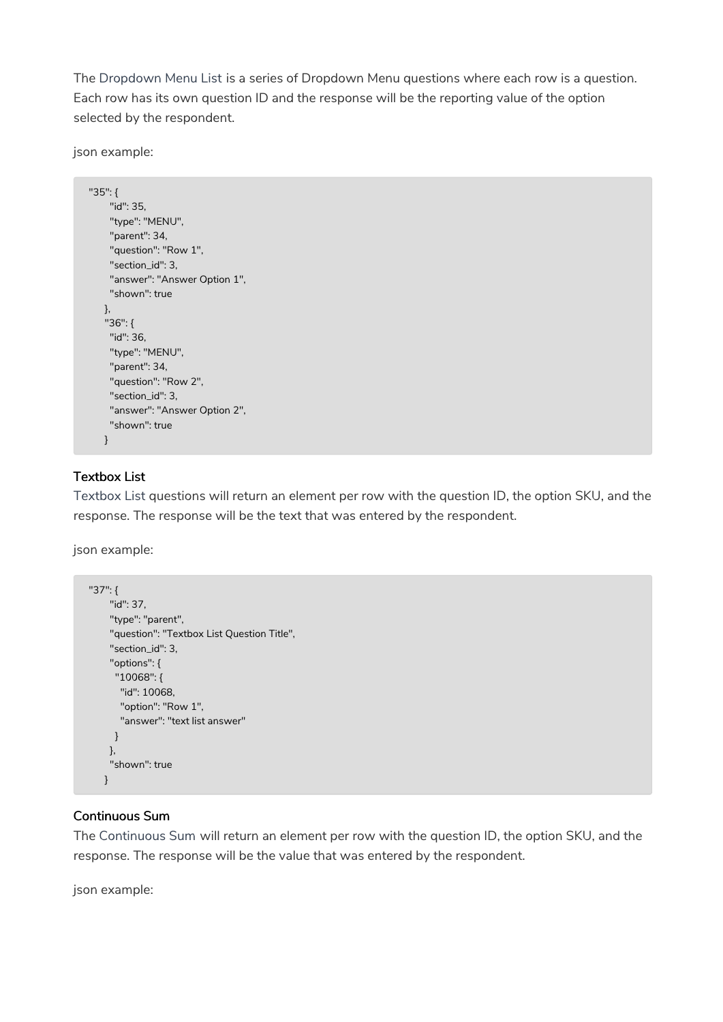The Dropdown Menu List is a series of Dropdown Menu questions where each row is a question. Each row has its own question ID and the response will be the reporting value of the option selected by the respondent.

json example:

```
"35": {
   "id": 35,
    "type": "MENU",
    "parent": 34,
    "question": "Row 1",
    "section_id": 3,
    "answer": "Answer Option 1",
    "shown": true
  },
   "36": {
   "id": 36,
    "type": "MENU",
    "parent": 34,
    "question": "Row 2",
    "section_id": 3,
    "answer": "Answer Option 2",
    "shown": true
   }
```
# Textbox List

Textbox List questions will return an element per row with the question ID, the option SKU, and the response. The response will be the text that was entered by the respondent.

json example:

```
"37": {
    "id": 37,
    "type": "parent",
    "question": "Textbox List Question Title",
    "section_id": 3,
    "options": {
     "10068": {
      "id": 10068,
      "option": "Row 1",
      "answer": "text list answer"
     }
    },
    "shown": true
   }
```
#### Continuous Sum

The Continuous Sum will return an element per row with the question ID, the option SKU, and the response. The response will be the value that was entered by the respondent.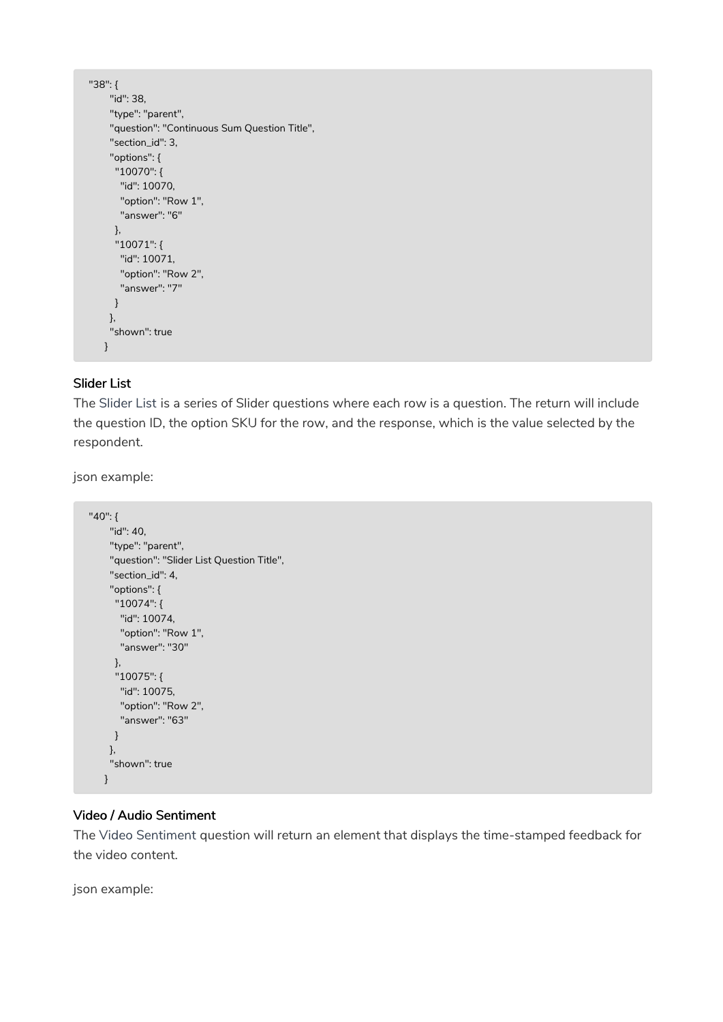```
"38": {
    "id": 38,
    "type": "parent",
    "question": "Continuous Sum Question Title",
    "section_id": 3,
    "options": {
     "10070": {
      "id": 10070,
      "option": "Row 1",
      "answer": "6"
     },
     "10071": {
      "id": 10071,
      "option": "Row 2",
      "answer": "7"
     }
    },
    "shown": true
   }
```
#### Slider List

The Slider List is a series of Slider questions where each row is a question. The return will include the question ID, the option SKU for the row, and the response, which is the value selected by the respondent.

json example:

```
"40": {
    "id": 40,
    "type": "parent",
    "question": "Slider List Question Title",
    "section_id": 4,
    "options": {
     "10074": {
      "id": 10074,
      "option": "Row 1",
      "answer": "30"
     },
     "10075": {
     "id": 10075,
      "option": "Row 2",
      "answer": "63"
     }
    },
    "shown": true
   }
```
#### Video / Audio Sentiment

The Video Sentiment question will return an element that displays the time-stamped feedback for the video content.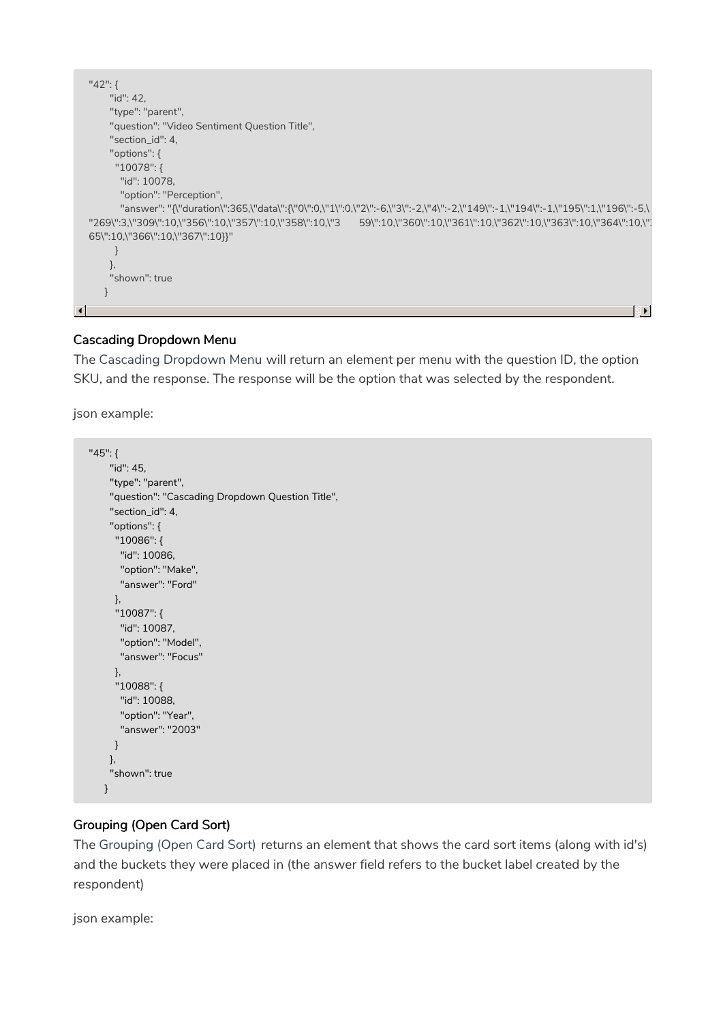```
"42": {
      "id": 42,
      "type": "parent",
       "question": "Video Sentiment Question Title",
       "section_id": 4,
       "options": {
        "10078": {
         "id": 10078,
         "option": "Perception",
         "answer": "{\"duration\":365,\"data\":{\"0\":0,\"1\":0,\"2\":-6,\"3\":-2,\"4\":-2,\"149\":-1,\"194\":-1,\"195\":1,\"196\":-5,\
  "269\":3,\"309\":10,\"356\":10,\"357\":10,\"358\":10,\"3 59\":10,\"360\":10,\"361\":10,\"362\":10,\"363\":10,\"364\":10,\"3
  65\":10,\"366\":10,\"367\":10}}"
        }
       },
       "shown": true
      }
                                                                                                                                  \mathbb{F}\blacktriangleleft
```
# Cascading Dropdown Menu

The Cascading Dropdown Menu will return an element per menu with the question ID, the option SKU, and the response. The response will be the option that was selected by the respondent.

json example:

```
"45": {
    "id": 45,
    "type": "parent",
    "question": "Cascading Dropdown Question Title",
    "section_id": 4,
    "options": {
     "10086": {
      "id": 10086,
      "option": "Make",
      "answer": "Ford"
     },
     "10087": {
      "id": 10087,
      "option": "Model",
      "answer": "Focus"
     },
     "10088": {
      "id": 10088,
      "option": "Year",
      "answer": "2003"
     }
    },
    "shown": true
   }
```
# Grouping (Open Card Sort)

The Grouping (Open Card Sort) returns an element that shows the card sort items (along with id's) and the buckets they were placed in (the answer field refers to the bucket label created by the respondent)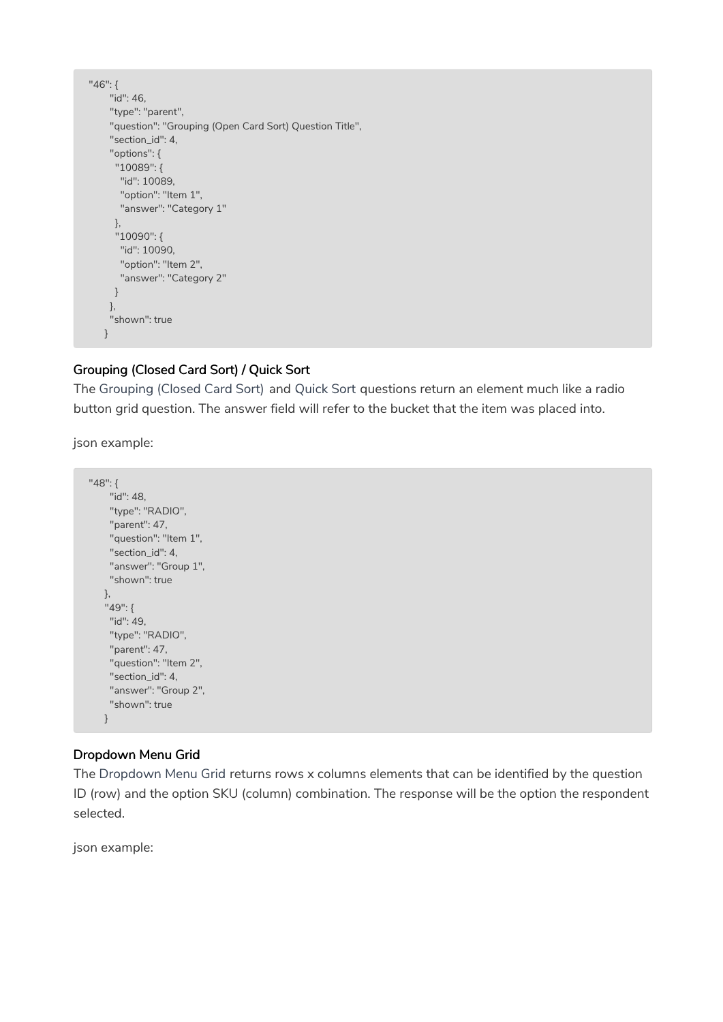```
"46": {
    "id": 46,
    "type": "parent",
    "question": "Grouping (Open Card Sort) Question Title",
    "section_id": 4,
    "options": {
     "10089": {
     "id": 10089,
      "option": "Item 1",
      "answer": "Category 1"
     },
     "10090": {
      "id": 10090,
      "option": "Item 2",
      "answer": "Category 2"
     }
    },
    "shown": true
   }
```
# Grouping (Closed Card Sort) / Quick Sort

The Grouping (Closed Card Sort) and Quick Sort questions return an element much like a radio button grid question. The answer field will refer to the bucket that the item was placed into.

json example:

```
"48": {
    "id": 48,
    "type": "RADIO",
    "parent": 47,
    "question": "Item 1",
    "section_id": 4,
    "answer": "Group 1",
    "shown": true
   },
   "49": {
    "id": 49,
    "type": "RADIO",
    "parent": 47,
    "question": "Item 2",
    "section_id": 4,
    "answer": "Group 2",
    "shown": true
   }
```
# Dropdown Menu Grid

The Dropdown Menu Grid returns rows x columns elements that can be identified by the question ID (row) and the option SKU (column) combination. The response will be the option the respondent selected.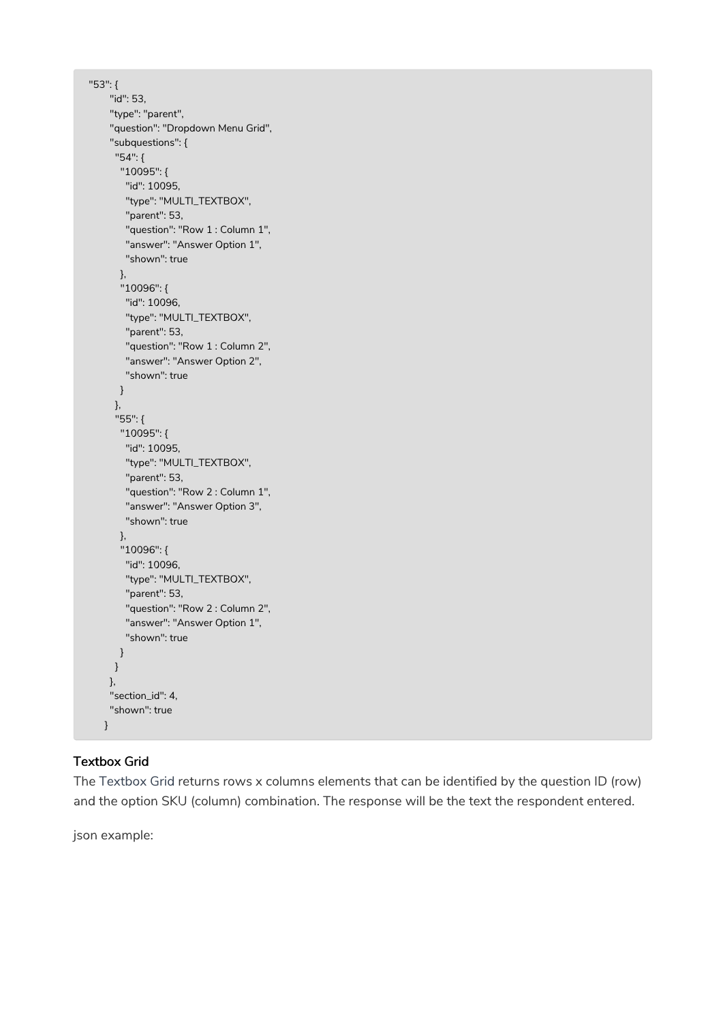```
"53": {
    "id": 53,
    "type": "parent",
    "question": "Dropdown Menu Grid",
    "subquestions": {
     "54": {
      "10095": {
       "id": 10095,
       "type": "MULTI_TEXTBOX",
       "parent": 53,
       "question": "Row 1 : Column 1",
       "answer": "Answer Option 1",
       "shown": true
      },
      "10096": {
       "id": 10096,
       "type": "MULTI_TEXTBOX",
       "parent": 53,
       "question": "Row 1 : Column 2",
       "answer": "Answer Option 2",
       "shown": true
      }
     },
     "55": {
      "10095": {
       "id": 10095,
       "type": "MULTI_TEXTBOX",
       "parent": 53,
       "question": "Row 2 : Column 1",
       "answer": "Answer Option 3",
       "shown": true
      },
      "10096": {
       "id": 10096,
       "type": "MULTI_TEXTBOX",
       "parent": 53,
       "question": "Row 2 : Column 2",
       "answer": "Answer Option 1",
       "shown": true
      }
     }
    },
    "section_id": 4,
    "shown": true
   }
```
# Textbox Grid

The Textbox Grid returns rows x columns elements that can be identified by the question ID (row) and the option SKU (column) combination. The response will be the text the respondent entered.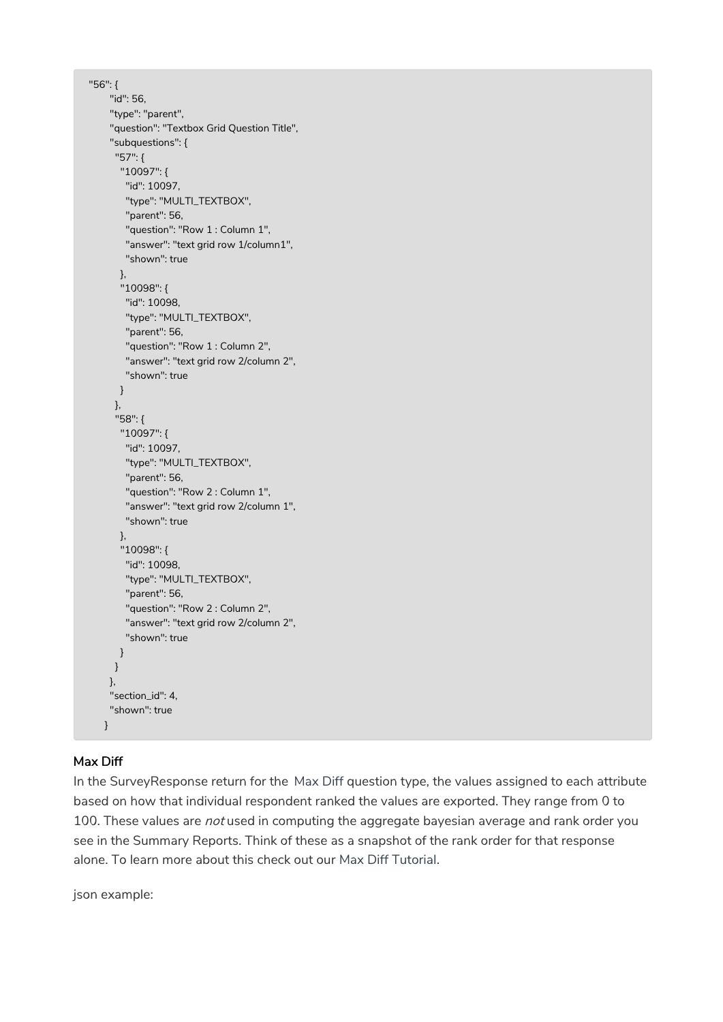```
"56": {
    "id": 56,
    "type": "parent",
    "question": "Textbox Grid Question Title",
    "subquestions": {
     "57": {
      "10097": {
       "id": 10097,
       "type": "MULTI_TEXTBOX",
       "parent": 56,
        "question": "Row 1 : Column 1",
        "answer": "text grid row 1/column1",
       "shown": true
      },
      "10098": {
       "id": 10098,
       "type": "MULTI_TEXTBOX",
        "parent": 56,
        "question": "Row 1 : Column 2",
        "answer": "text grid row 2/column 2",
        "shown": true
      }
     },
     "58": {
      "10097": {
       "id": 10097,
        "type": "MULTI_TEXTBOX",
       "parent": 56,
       "question": "Row 2 : Column 1",
       "answer": "text grid row 2/column 1",
       "shown": true
      },
      "10098": {
       "id": 10098,
        "type": "MULTI_TEXTBOX",
       "parent": 56,
       "question": "Row 2 : Column 2",
       "answer": "text grid row 2/column 2",
       "shown": true
      }
     }
    },
    "section_id": 4,
    "shown": true
   }
```
# Max Diff

In the SurveyResponse return for the Max Diff question type, the values assigned to each attribute based on how that individual respondent ranked the values are exported. They range from 0 to 100. These values are not used in computing the aggregate bayesian average and rank order you see in the Summary Reports. Think of these as a snapshot of the rank order for that response alone. To learn more about this check out our Max Diff Tutorial.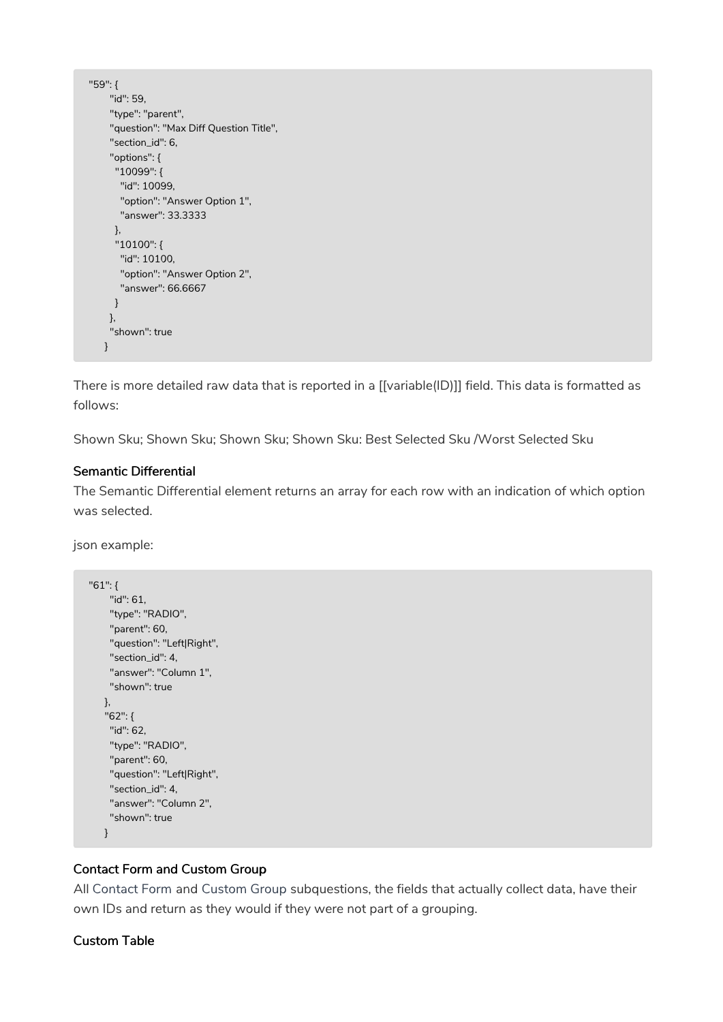```
"59": {
    "id": 59,
    "type": "parent",
    "question": "Max Diff Question Title",
    "section_id": 6,
    "options": {
     "10099": {
      "id": 10099,
      "option": "Answer Option 1",
      "answer": 33.3333
     },
     "10100": {
      "id": 10100,
      "option": "Answer Option 2",
      "answer": 66.6667
     }
    },
    "shown": true
   }
```
There is more detailed raw data that is reported in a [[variable(ID)]] field. This data is formatted as follows:

Shown Sku; Shown Sku; Shown Sku; Shown Sku: Best Selected Sku /Worst Selected Sku

# Semantic Differential

The Semantic Differential element returns an array for each row with an indication of which option was selected.

json example:

```
"61": {
    "id": 61,
    "type": "RADIO",
    "parent": 60,
    "question": "Left|Right",
    "section_id": 4,
    "answer": "Column 1",
    "shown": true
   },
   "62": {
    "id": 62,
    "type": "RADIO",
    "parent": 60,
    "question": "Left|Right",
    "section_id": 4,
    "answer": "Column 2",
    "shown": true
   }
```
#### Contact Form and Custom Group

All Contact Form and Custom Group subquestions, the fields that actually collect data, have their own IDs and return as they would if they were not part of a grouping.

#### Custom Table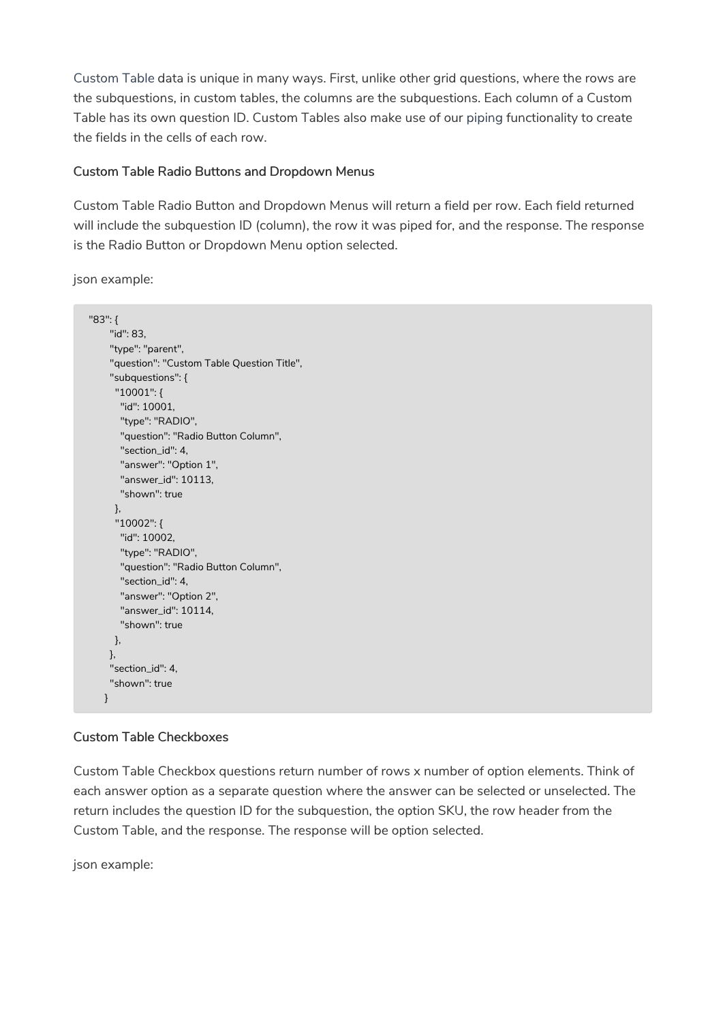Custom Table data is unique in many ways. First, unlike other grid questions, where the rows are the subquestions, in custom tables, the columns are the subquestions. Each column of a Custom Table has its own question ID. Custom Tables also make use of our piping functionality to create the fields in the cells of each row.

#### Custom Table Radio Buttons and Dropdown Menus

Custom Table Radio Button and Dropdown Menus will return a field per row. Each field returned will include the subquestion ID (column), the row it was piped for, and the response. The response is the Radio Button or Dropdown Menu option selected.

json example:

```
"83": {
    "id": 83,
    "type": "parent",
    "question": "Custom Table Question Title",
    "subquestions": {
     "10001": {
      "id": 10001,
      "type": "RADIO",
      "question": "Radio Button Column",
      "section_id": 4,
      "answer": "Option 1",
      "answer_id": 10113,
      "shown": true
     },
     "10002": {
      "id": 10002,
      "type": "RADIO",
      "question": "Radio Button Column",
      "section_id": 4,
      "answer": "Option 2",
      "answer_id": 10114,
      "shown": true
    },
    },
    "section_id": 4,
    "shown": true
  }
```
# Custom Table Checkboxes

Custom Table Checkbox questions return number of rows x number of option elements. Think of each answer option as a separate question where the answer can be selected or unselected. The return includes the question ID for the subquestion, the option SKU, the row header from the Custom Table, and the response. The response will be option selected.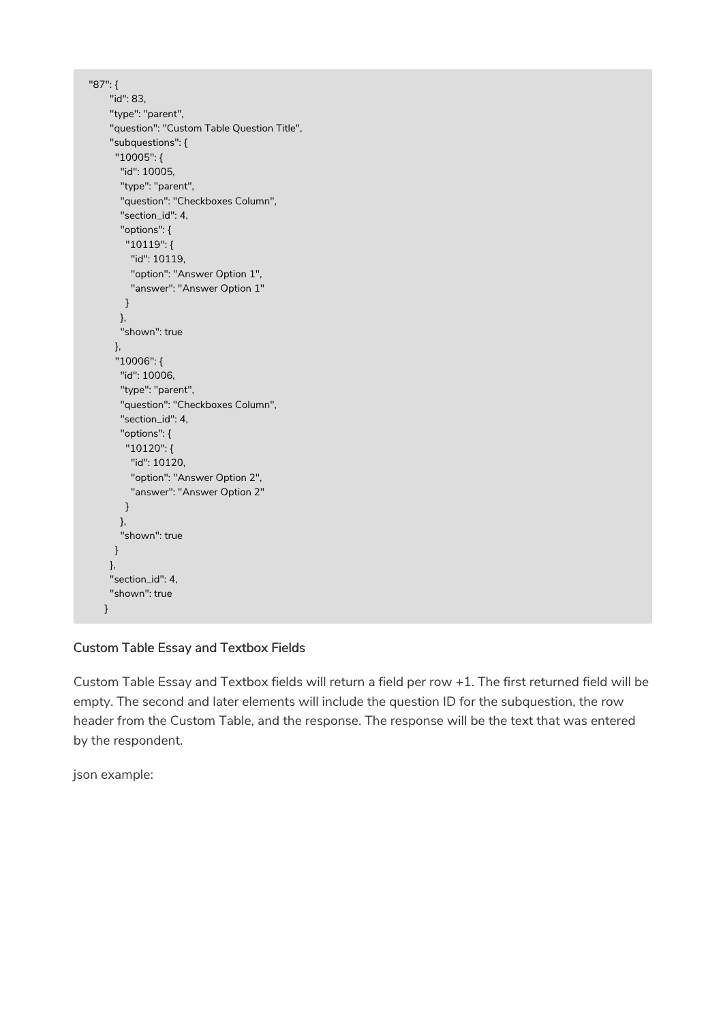```
"87": {
    "id": 83,
    "type": "parent",
    "question": "Custom Table Question Title",
    "subquestions": {
     "10005": {
      "id": 10005,
      "type": "parent",
      "question": "Checkboxes Column",
      "section_id": 4,
      "options": {
       "10119": {
        "id": 10119,
        "option": "Answer Option 1",
        "answer": "Answer Option 1"
       }
      },
      "shown": true
     },
     "10006": {
      "id": 10006,
      "type": "parent",
      "question": "Checkboxes Column",
      "section_id": 4,
      "options": {
       "10120": {
        "id": 10120,
        "option": "Answer Option 2",
        "answer": "Answer Option 2"
       }
      },
      "shown": true
     }
    },
    "section_id": 4,
    "shown": true
   }
```
# Custom Table Essay and Textbox Fields

Custom Table Essay and Textbox fields will return a field per row +1. The first returned field will be empty. The second and later elements will include the question ID for the subquestion, the row header from the Custom Table, and the response. The response will be the text that was entered by the respondent.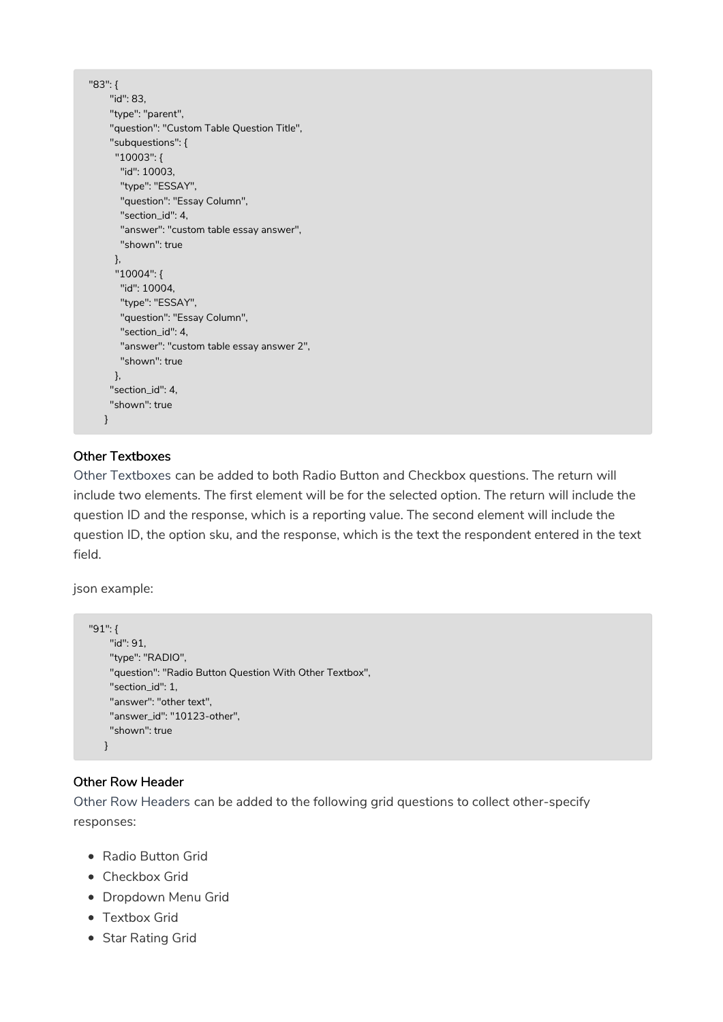```
"83": {
    "id": 83,
    "type": "parent",
    "question": "Custom Table Question Title",
    "subquestions": {
     "10003": {
      "id": 10003,
      "type": "ESSAY",
      "question": "Essay Column",
      "section_id": 4,
      "answer": "custom table essay answer",
      "shown": true
     },
     "10004": {
      "id": 10004,
      "type": "ESSAY",
      "question": "Essay Column",
      "section_id": 4,
      "answer": "custom table essay answer 2",
      "shown": true
    },
    "section_id": 4,
    "shown": true
   }
```
# Other Textboxes

Other Textboxes can be added to both Radio Button and Checkbox questions. The return will include two elements. The first element will be for the selected option. The return will include the question ID and the response, which is a reporting value. The second element will include the question ID, the option sku, and the response, which is the text the respondent entered in the text field.

json example:

```
"91": {
   "id": 91,
    "type": "RADIO",
    "question": "Radio Button Question With Other Textbox",
    "section_id": 1,
    "answer": "other text",
    "answer_id": "10123-other",
    "shown": true
  }
```
#### Other Row Header

Other Row Headers can be added to the following grid questions to collect other-specify responses:

- Radio Button Grid
- Checkbox Grid
- Dropdown Menu Grid
- Textbox Grid
- Star Rating Grid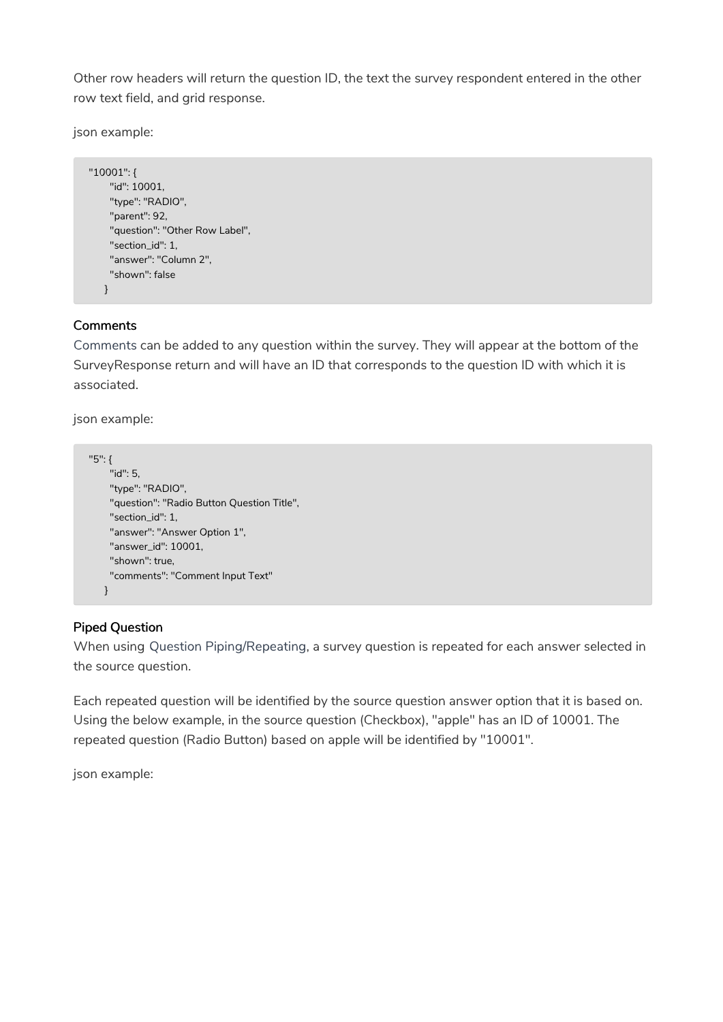Other row headers will return the question ID, the text the survey respondent entered in the other row text field, and grid response.

json example:

```
"10001": {
   "id": 10001,
    "type": "RADIO",
    "parent": 92,
    "question": "Other Row Label",
    "section_id": 1,
    "answer": "Column 2",
    "shown": false
  }
```
#### **Comments**

Comments can be added to any question within the survey. They will appear at the bottom of the SurveyResponse return and will have an ID that corresponds to the question ID with which it is associated.

json example:

```
"5": {
   "id": 5,
    "type": "RADIO",
    "question": "Radio Button Question Title",
    "section_id": 1,
    "answer": "Answer Option 1",
    "answer_id": 10001,
    "shown": true,
    "comments": "Comment Input Text"
   }
```
# Piped Question

When using Question Piping/Repeating, a survey question is repeated for each answer selected in the source question.

Each repeated question will be identified by the source question answer option that it is based on. Using the below example, in the source question (Checkbox), "apple" has an ID of 10001. The repeated question (Radio Button) based on apple will be identified by "10001".